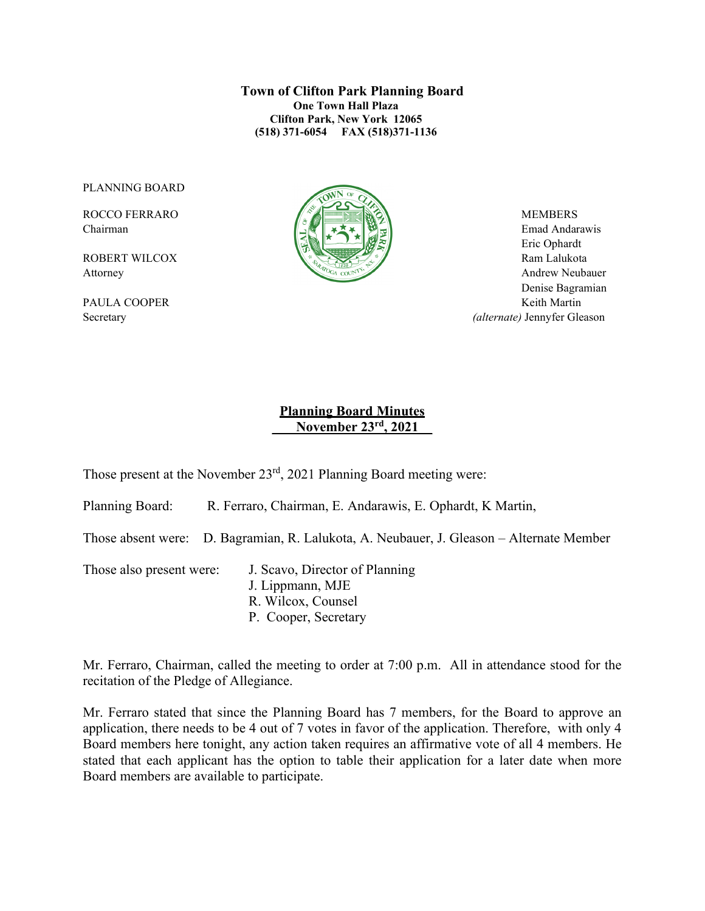**Town of Clifton Park Planning Board One Town Hall Plaza Clifton Park, New York 12065 (518) 371-6054 FAX (518)371-1136**

PLANNING BOARD



Chairman Emad Andarawis  $\|\cdot\|$   $\leq$   $\|\cdot\|$   $\leq$   $\leq$   $\|\cdot\|$   $\leq$   $\|\cdot\|$   $\leq$   $\leq$  Emad Andarawis Eric Ophardt Attorney Andrew Neubauer Denise Bagramian PAULA COOPER Keith Martin Secretary *(alternate)* Jennyfer Gleason

### **Planning Board Minutes \_\_ November 23rd, 2021\_\_**

Those present at the November 23rd, 2021 Planning Board meeting were:

Planning Board: R. Ferraro, Chairman, E. Andarawis, E. Ophardt, K Martin,

Those absent were: D. Bagramian, R. Lalukota, A. Neubauer, J. Gleason – Alternate Member

Those also present were: J. Scavo, Director of Planning

J. Lippmann, MJE R. Wilcox, Counsel P. Cooper, Secretary

Mr. Ferraro, Chairman, called the meeting to order at 7:00 p.m. All in attendance stood for the recitation of the Pledge of Allegiance.

Mr. Ferraro stated that since the Planning Board has 7 members, for the Board to approve an application, there needs to be 4 out of 7 votes in favor of the application. Therefore, with only 4 Board members here tonight, any action taken requires an affirmative vote of all 4 members. He stated that each applicant has the option to table their application for a later date when more Board members are available to participate.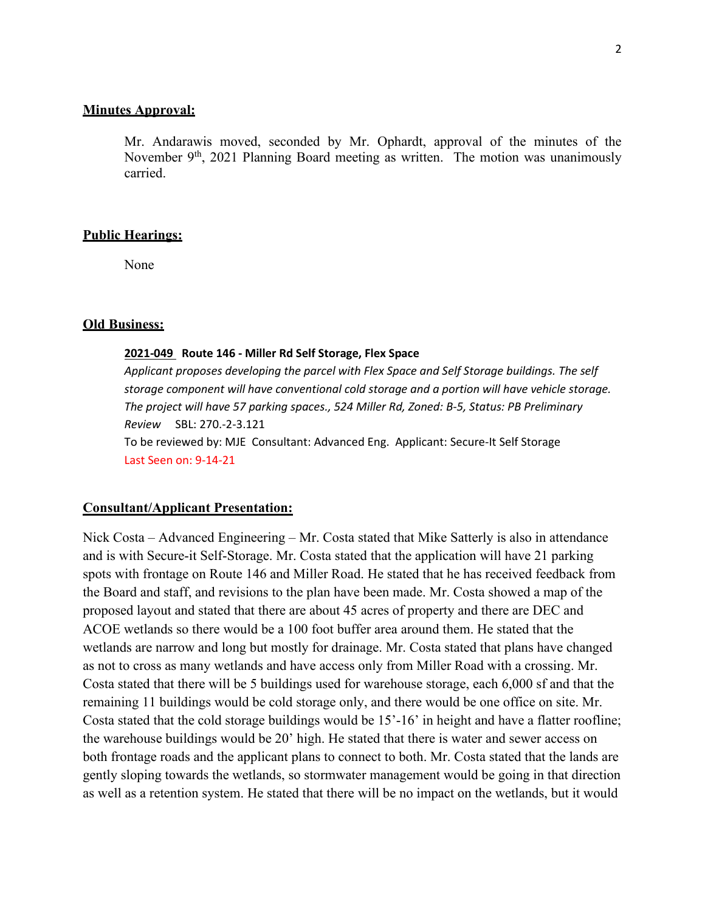#### **Minutes Approval:**

Mr. Andarawis moved, seconded by Mr. Ophardt, approval of the minutes of the November 9<sup>th</sup>, 2021 Planning Board meeting as written. The motion was unanimously carried.

#### **Public Hearings:**

None

#### **Old Business:**

#### **2021-049 Route 146 - Miller Rd Self Storage, Flex Space**

*Applicant proposes developing the parcel with Flex Space and Self Storage buildings. The self storage component will have conventional cold storage and a portion will have vehicle storage. The project will have 57 parking spaces., 524 Miller Rd, Zoned: B-5, Status: PB Preliminary Review* SBL: 270.-2-3.121 To be reviewed by: MJE Consultant: Advanced Eng. Applicant: Secure-It Self Storage Last Seen on: 9-14-21

#### **Consultant/Applicant Presentation:**

Nick Costa – Advanced Engineering – Mr. Costa stated that Mike Satterly is also in attendance and is with Secure-it Self-Storage. Mr. Costa stated that the application will have 21 parking spots with frontage on Route 146 and Miller Road. He stated that he has received feedback from the Board and staff, and revisions to the plan have been made. Mr. Costa showed a map of the proposed layout and stated that there are about 45 acres of property and there are DEC and ACOE wetlands so there would be a 100 foot buffer area around them. He stated that the wetlands are narrow and long but mostly for drainage. Mr. Costa stated that plans have changed as not to cross as many wetlands and have access only from Miller Road with a crossing. Mr. Costa stated that there will be 5 buildings used for warehouse storage, each 6,000 sf and that the remaining 11 buildings would be cold storage only, and there would be one office on site. Mr. Costa stated that the cold storage buildings would be 15'-16' in height and have a flatter roofline; the warehouse buildings would be 20' high. He stated that there is water and sewer access on both frontage roads and the applicant plans to connect to both. Mr. Costa stated that the lands are gently sloping towards the wetlands, so stormwater management would be going in that direction as well as a retention system. He stated that there will be no impact on the wetlands, but it would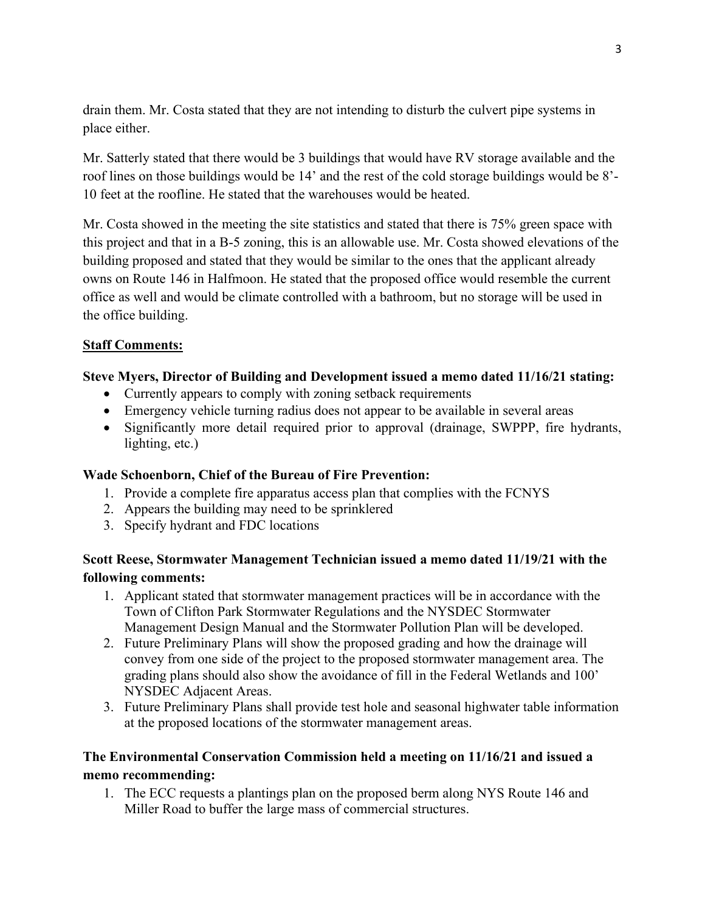drain them. Mr. Costa stated that they are not intending to disturb the culvert pipe systems in place either.

Mr. Satterly stated that there would be 3 buildings that would have RV storage available and the roof lines on those buildings would be 14' and the rest of the cold storage buildings would be 8'- 10 feet at the roofline. He stated that the warehouses would be heated.

Mr. Costa showed in the meeting the site statistics and stated that there is 75% green space with this project and that in a B-5 zoning, this is an allowable use. Mr. Costa showed elevations of the building proposed and stated that they would be similar to the ones that the applicant already owns on Route 146 in Halfmoon. He stated that the proposed office would resemble the current office as well and would be climate controlled with a bathroom, but no storage will be used in the office building.

### **Staff Comments:**

### **Steve Myers, Director of Building and Development issued a memo dated 11/16/21 stating:**

- Currently appears to comply with zoning setback requirements
- Emergency vehicle turning radius does not appear to be available in several areas
- Significantly more detail required prior to approval (drainage, SWPPP, fire hydrants, lighting, etc.)

### **Wade Schoenborn, Chief of the Bureau of Fire Prevention:**

- 1. Provide a complete fire apparatus access plan that complies with the FCNYS
- 2. Appears the building may need to be sprinklered
- 3. Specify hydrant and FDC locations

## **Scott Reese, Stormwater Management Technician issued a memo dated 11/19/21 with the following comments:**

- 1. Applicant stated that stormwater management practices will be in accordance with the Town of Clifton Park Stormwater Regulations and the NYSDEC Stormwater Management Design Manual and the Stormwater Pollution Plan will be developed.
- 2. Future Preliminary Plans will show the proposed grading and how the drainage will convey from one side of the project to the proposed stormwater management area. The grading plans should also show the avoidance of fill in the Federal Wetlands and 100' NYSDEC Adjacent Areas.
- 3. Future Preliminary Plans shall provide test hole and seasonal highwater table information at the proposed locations of the stormwater management areas.

## **The Environmental Conservation Commission held a meeting on 11/16/21 and issued a memo recommending:**

1. The ECC requests a plantings plan on the proposed berm along NYS Route 146 and Miller Road to buffer the large mass of commercial structures.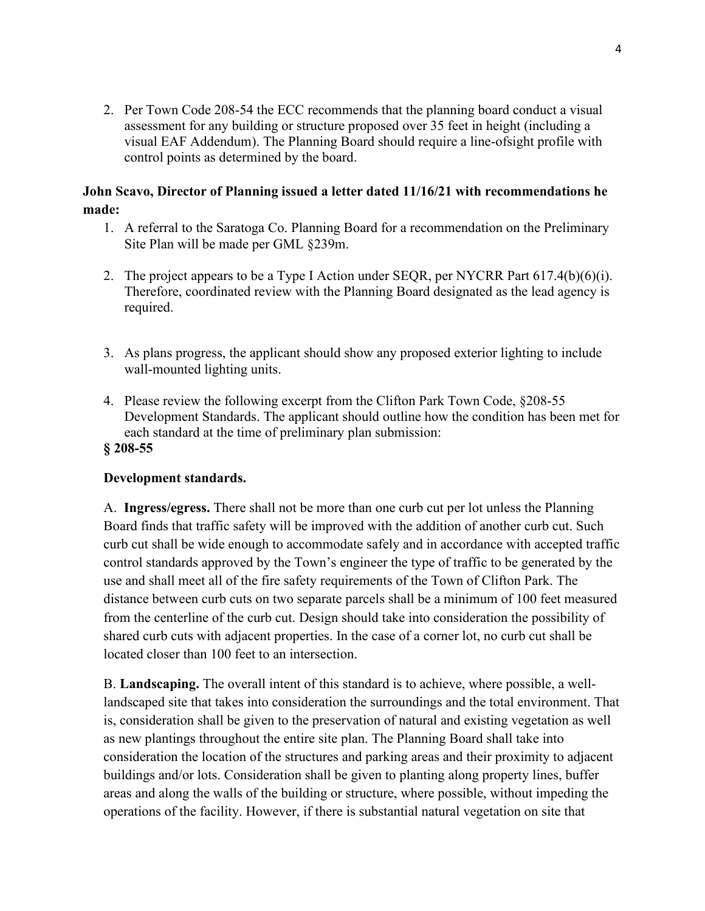2. Per Town Code 208-54 the ECC recommends that the planning board conduct a visual assessment for any building or structure proposed over 35 feet in height (including a visual EAF Addendum). The Planning Board should require a line-ofsight profile with control points as determined by the board.

## **John Scavo, Director of Planning issued a letter dated 11/16/21 with recommendations he made:**

- 1. A referral to the Saratoga Co. Planning Board for a recommendation on the Preliminary Site Plan will be made per GML §239m.
- 2. The project appears to be a Type I Action under SEQR, per NYCRR Part  $617.4(b)(6)(i)$ . Therefore, coordinated review with the Planning Board designated as the lead agency is required.
- 3. As plans progress, the applicant should show any proposed exterior lighting to include wall-mounted lighting units.
- 4. Please review the following excerpt from the Clifton Park Town Code, §208-55 Development Standards. The applicant should outline how the condition has been met for each standard at the time of preliminary plan submission: **§ 208-55**

### **Development standards.**

A. **Ingress/egress.** There shall not be more than one curb cut per lot unless the Planning Board finds that traffic safety will be improved with the addition of another curb cut. Such curb cut shall be wide enough to accommodate safely and in accordance with accepted traffic control standards approved by the Town's engineer the type of traffic to be generated by the use and shall meet all of the fire safety requirements of the Town of Clifton Park. The distance between curb cuts on two separate parcels shall be a minimum of 100 feet measured from the centerline of the curb cut. Design should take into consideration the possibility of shared curb cuts with adjacent properties. In the case of a corner lot, no curb cut shall be located closer than 100 feet to an intersection.

B. **Landscaping.** The overall intent of this standard is to achieve, where possible, a welllandscaped site that takes into consideration the surroundings and the total environment. That is, consideration shall be given to the preservation of natural and existing vegetation as well as new plantings throughout the entire site plan. The Planning Board shall take into consideration the location of the structures and parking areas and their proximity to adjacent buildings and/or lots. Consideration shall be given to planting along property lines, buffer areas and along the walls of the building or structure, where possible, without impeding the operations of the facility. However, if there is substantial natural vegetation on site that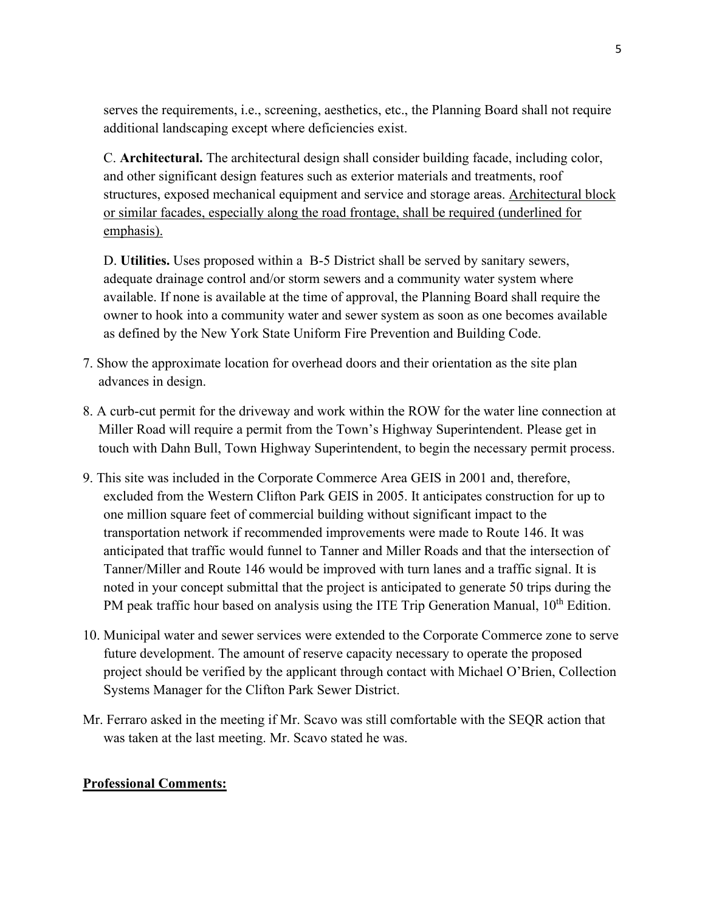serves the requirements, i.e., screening, aesthetics, etc., the Planning Board shall not require additional landscaping except where deficiencies exist.

C. **Architectural.** The architectural design shall consider building facade, including color, and other significant design features such as exterior materials and treatments, roof structures, exposed mechanical equipment and service and storage areas. Architectural block or similar facades, especially along the road frontage, shall be required (underlined for emphasis).

D. **Utilities.** Uses proposed within a B-5 District shall be served by sanitary sewers, adequate drainage control and/or storm sewers and a community water system where available. If none is available at the time of approval, the Planning Board shall require the owner to hook into a community water and sewer system as soon as one becomes available as defined by the New York State Uniform Fire Prevention and Building Code.

- 7. Show the approximate location for overhead doors and their orientation as the site plan advances in design.
- 8. A curb-cut permit for the driveway and work within the ROW for the water line connection at Miller Road will require a permit from the Town's Highway Superintendent. Please get in touch with Dahn Bull, Town Highway Superintendent, to begin the necessary permit process.
- 9. This site was included in the Corporate Commerce Area GEIS in 2001 and, therefore, excluded from the Western Clifton Park GEIS in 2005. It anticipates construction for up to one million square feet of commercial building without significant impact to the transportation network if recommended improvements were made to Route 146. It was anticipated that traffic would funnel to Tanner and Miller Roads and that the intersection of Tanner/Miller and Route 146 would be improved with turn lanes and a traffic signal. It is noted in your concept submittal that the project is anticipated to generate 50 trips during the PM peak traffic hour based on analysis using the ITE Trip Generation Manual, 10<sup>th</sup> Edition.
- 10. Municipal water and sewer services were extended to the Corporate Commerce zone to serve future development. The amount of reserve capacity necessary to operate the proposed project should be verified by the applicant through contact with Michael O'Brien, Collection Systems Manager for the Clifton Park Sewer District.
- Mr. Ferraro asked in the meeting if Mr. Scavo was still comfortable with the SEQR action that was taken at the last meeting. Mr. Scavo stated he was.

### **Professional Comments:**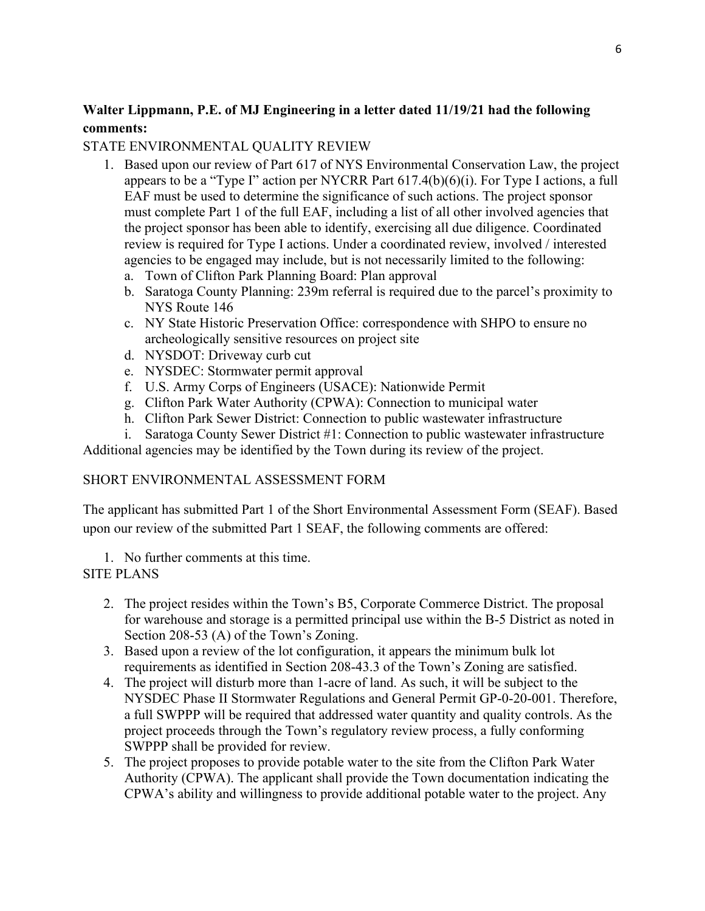# **Walter Lippmann, P.E. of MJ Engineering in a letter dated 11/19/21 had the following comments:**

### STATE ENVIRONMENTAL QUALITY REVIEW

- 1. Based upon our review of Part 617 of NYS Environmental Conservation Law, the project appears to be a "Type I" action per NYCRR Part 617.4(b)(6)(i). For Type I actions, a full EAF must be used to determine the significance of such actions. The project sponsor must complete Part 1 of the full EAF, including a list of all other involved agencies that the project sponsor has been able to identify, exercising all due diligence. Coordinated review is required for Type I actions. Under a coordinated review, involved / interested agencies to be engaged may include, but is not necessarily limited to the following:
	- a. Town of Clifton Park Planning Board: Plan approval
	- b. Saratoga County Planning: 239m referral is required due to the parcel's proximity to NYS Route 146
	- c. NY State Historic Preservation Office: correspondence with SHPO to ensure no archeologically sensitive resources on project site
	- d. NYSDOT: Driveway curb cut
	- e. NYSDEC: Stormwater permit approval
	- f. U.S. Army Corps of Engineers (USACE): Nationwide Permit
	- g. Clifton Park Water Authority (CPWA): Connection to municipal water
	- h. Clifton Park Sewer District: Connection to public wastewater infrastructure
- i. Saratoga County Sewer District #1: Connection to public wastewater infrastructure

Additional agencies may be identified by the Town during its review of the project.

### SHORT ENVIRONMENTAL ASSESSMENT FORM

The applicant has submitted Part 1 of the Short Environmental Assessment Form (SEAF). Based upon our review of the submitted Part 1 SEAF, the following comments are offered:

1. No further comments at this time.

### SITE PLANS

- 2. The project resides within the Town's B5, Corporate Commerce District. The proposal for warehouse and storage is a permitted principal use within the B-5 District as noted in Section 208-53 (A) of the Town's Zoning.
- 3. Based upon a review of the lot configuration, it appears the minimum bulk lot requirements as identified in Section 208-43.3 of the Town's Zoning are satisfied.
- 4. The project will disturb more than 1-acre of land. As such, it will be subject to the NYSDEC Phase II Stormwater Regulations and General Permit GP-0-20-001. Therefore, a full SWPPP will be required that addressed water quantity and quality controls. As the project proceeds through the Town's regulatory review process, a fully conforming SWPPP shall be provided for review.
- 5. The project proposes to provide potable water to the site from the Clifton Park Water Authority (CPWA). The applicant shall provide the Town documentation indicating the CPWA's ability and willingness to provide additional potable water to the project. Any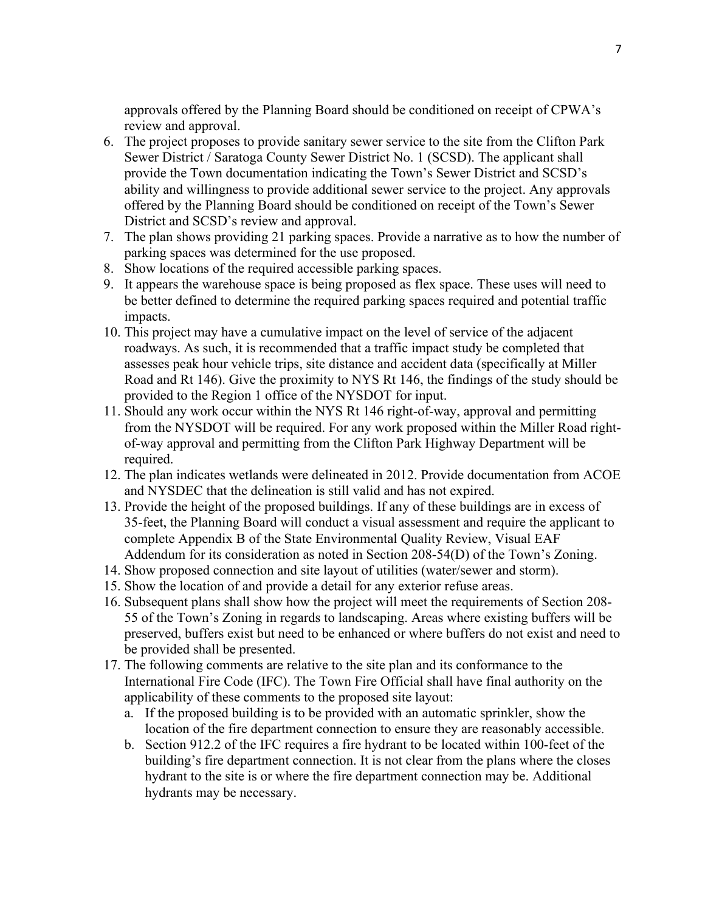approvals offered by the Planning Board should be conditioned on receipt of CPWA's review and approval.

- 6. The project proposes to provide sanitary sewer service to the site from the Clifton Park Sewer District / Saratoga County Sewer District No. 1 (SCSD). The applicant shall provide the Town documentation indicating the Town's Sewer District and SCSD's ability and willingness to provide additional sewer service to the project. Any approvals offered by the Planning Board should be conditioned on receipt of the Town's Sewer District and SCSD's review and approval.
- 7. The plan shows providing 21 parking spaces. Provide a narrative as to how the number of parking spaces was determined for the use proposed.
- 8. Show locations of the required accessible parking spaces.
- 9. It appears the warehouse space is being proposed as flex space. These uses will need to be better defined to determine the required parking spaces required and potential traffic impacts.
- 10. This project may have a cumulative impact on the level of service of the adjacent roadways. As such, it is recommended that a traffic impact study be completed that assesses peak hour vehicle trips, site distance and accident data (specifically at Miller Road and Rt 146). Give the proximity to NYS Rt 146, the findings of the study should be provided to the Region 1 office of the NYSDOT for input.
- 11. Should any work occur within the NYS Rt 146 right-of-way, approval and permitting from the NYSDOT will be required. For any work proposed within the Miller Road rightof-way approval and permitting from the Clifton Park Highway Department will be required.
- 12. The plan indicates wetlands were delineated in 2012. Provide documentation from ACOE and NYSDEC that the delineation is still valid and has not expired.
- 13. Provide the height of the proposed buildings. If any of these buildings are in excess of 35-feet, the Planning Board will conduct a visual assessment and require the applicant to complete Appendix B of the State Environmental Quality Review, Visual EAF Addendum for its consideration as noted in Section 208-54(D) of the Town's Zoning.
- 14. Show proposed connection and site layout of utilities (water/sewer and storm).
- 15. Show the location of and provide a detail for any exterior refuse areas.
- 16. Subsequent plans shall show how the project will meet the requirements of Section 208- 55 of the Town's Zoning in regards to landscaping. Areas where existing buffers will be preserved, buffers exist but need to be enhanced or where buffers do not exist and need to be provided shall be presented.
- 17. The following comments are relative to the site plan and its conformance to the International Fire Code (IFC). The Town Fire Official shall have final authority on the applicability of these comments to the proposed site layout:
	- a. If the proposed building is to be provided with an automatic sprinkler, show the location of the fire department connection to ensure they are reasonably accessible.
	- b. Section 912.2 of the IFC requires a fire hydrant to be located within 100-feet of the building's fire department connection. It is not clear from the plans where the closes hydrant to the site is or where the fire department connection may be. Additional hydrants may be necessary.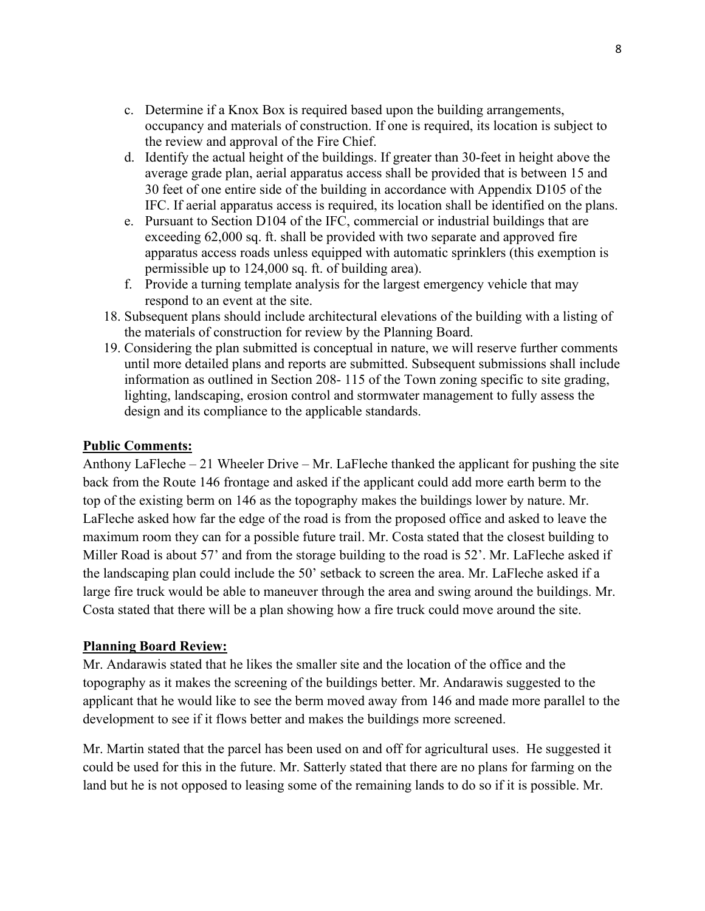- c. Determine if a Knox Box is required based upon the building arrangements, occupancy and materials of construction. If one is required, its location is subject to the review and approval of the Fire Chief.
- d. Identify the actual height of the buildings. If greater than 30-feet in height above the average grade plan, aerial apparatus access shall be provided that is between 15 and 30 feet of one entire side of the building in accordance with Appendix D105 of the IFC. If aerial apparatus access is required, its location shall be identified on the plans.
- e. Pursuant to Section D104 of the IFC, commercial or industrial buildings that are exceeding 62,000 sq. ft. shall be provided with two separate and approved fire apparatus access roads unless equipped with automatic sprinklers (this exemption is permissible up to 124,000 sq. ft. of building area).
- f. Provide a turning template analysis for the largest emergency vehicle that may respond to an event at the site.
- 18. Subsequent plans should include architectural elevations of the building with a listing of the materials of construction for review by the Planning Board.
- 19. Considering the plan submitted is conceptual in nature, we will reserve further comments until more detailed plans and reports are submitted. Subsequent submissions shall include information as outlined in Section 208- 115 of the Town zoning specific to site grading, lighting, landscaping, erosion control and stormwater management to fully assess the design and its compliance to the applicable standards.

### **Public Comments:**

Anthony LaFleche – 21 Wheeler Drive – Mr. LaFleche thanked the applicant for pushing the site back from the Route 146 frontage and asked if the applicant could add more earth berm to the top of the existing berm on 146 as the topography makes the buildings lower by nature. Mr. LaFleche asked how far the edge of the road is from the proposed office and asked to leave the maximum room they can for a possible future trail. Mr. Costa stated that the closest building to Miller Road is about 57' and from the storage building to the road is 52'. Mr. LaFleche asked if the landscaping plan could include the 50' setback to screen the area. Mr. LaFleche asked if a large fire truck would be able to maneuver through the area and swing around the buildings. Mr. Costa stated that there will be a plan showing how a fire truck could move around the site.

### **Planning Board Review:**

Mr. Andarawis stated that he likes the smaller site and the location of the office and the topography as it makes the screening of the buildings better. Mr. Andarawis suggested to the applicant that he would like to see the berm moved away from 146 and made more parallel to the development to see if it flows better and makes the buildings more screened.

Mr. Martin stated that the parcel has been used on and off for agricultural uses. He suggested it could be used for this in the future. Mr. Satterly stated that there are no plans for farming on the land but he is not opposed to leasing some of the remaining lands to do so if it is possible. Mr.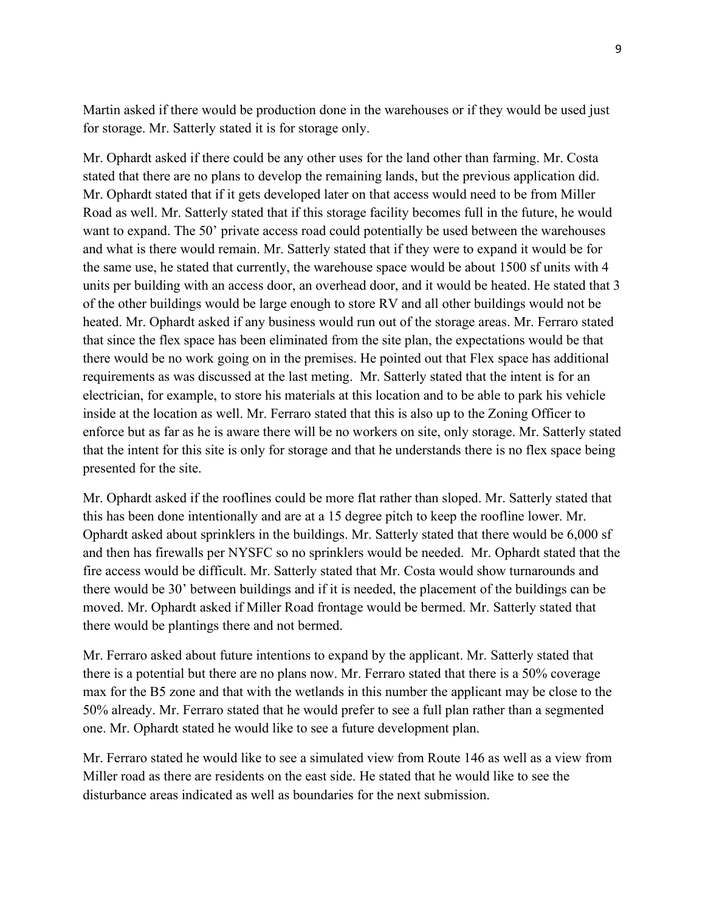Martin asked if there would be production done in the warehouses or if they would be used just for storage. Mr. Satterly stated it is for storage only.

Mr. Ophardt asked if there could be any other uses for the land other than farming. Mr. Costa stated that there are no plans to develop the remaining lands, but the previous application did. Mr. Ophardt stated that if it gets developed later on that access would need to be from Miller Road as well. Mr. Satterly stated that if this storage facility becomes full in the future, he would want to expand. The 50' private access road could potentially be used between the warehouses and what is there would remain. Mr. Satterly stated that if they were to expand it would be for the same use, he stated that currently, the warehouse space would be about 1500 sf units with 4 units per building with an access door, an overhead door, and it would be heated. He stated that 3 of the other buildings would be large enough to store RV and all other buildings would not be heated. Mr. Ophardt asked if any business would run out of the storage areas. Mr. Ferraro stated that since the flex space has been eliminated from the site plan, the expectations would be that there would be no work going on in the premises. He pointed out that Flex space has additional requirements as was discussed at the last meting. Mr. Satterly stated that the intent is for an electrician, for example, to store his materials at this location and to be able to park his vehicle inside at the location as well. Mr. Ferraro stated that this is also up to the Zoning Officer to enforce but as far as he is aware there will be no workers on site, only storage. Mr. Satterly stated that the intent for this site is only for storage and that he understands there is no flex space being presented for the site.

Mr. Ophardt asked if the rooflines could be more flat rather than sloped. Mr. Satterly stated that this has been done intentionally and are at a 15 degree pitch to keep the roofline lower. Mr. Ophardt asked about sprinklers in the buildings. Mr. Satterly stated that there would be 6,000 sf and then has firewalls per NYSFC so no sprinklers would be needed. Mr. Ophardt stated that the fire access would be difficult. Mr. Satterly stated that Mr. Costa would show turnarounds and there would be 30' between buildings and if it is needed, the placement of the buildings can be moved. Mr. Ophardt asked if Miller Road frontage would be bermed. Mr. Satterly stated that there would be plantings there and not bermed.

Mr. Ferraro asked about future intentions to expand by the applicant. Mr. Satterly stated that there is a potential but there are no plans now. Mr. Ferraro stated that there is a 50% coverage max for the B5 zone and that with the wetlands in this number the applicant may be close to the 50% already. Mr. Ferraro stated that he would prefer to see a full plan rather than a segmented one. Mr. Ophardt stated he would like to see a future development plan.

Mr. Ferraro stated he would like to see a simulated view from Route 146 as well as a view from Miller road as there are residents on the east side. He stated that he would like to see the disturbance areas indicated as well as boundaries for the next submission.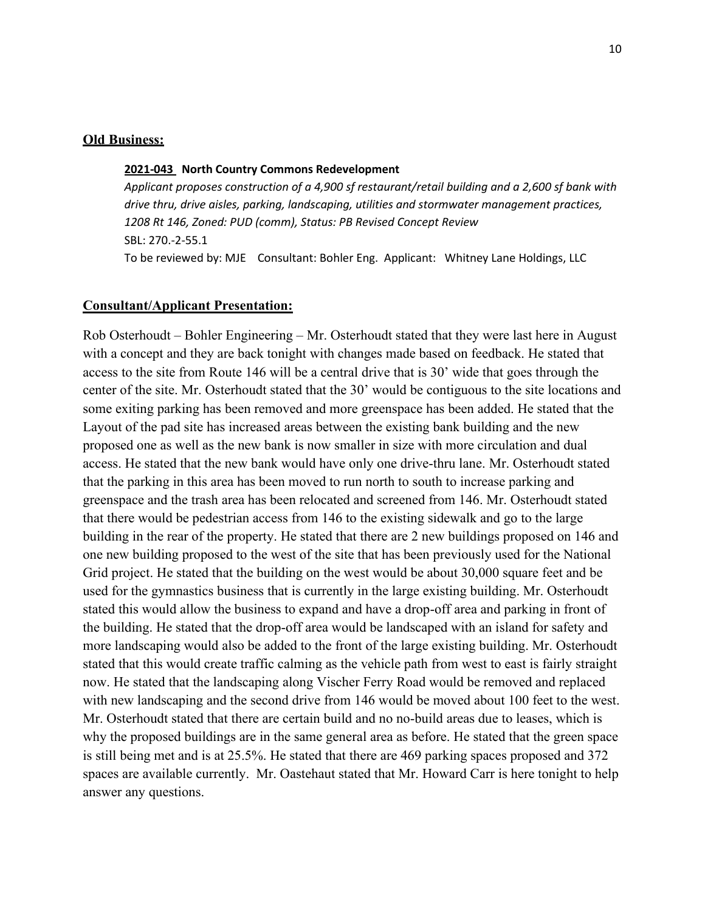#### **Old Business:**

#### **2021-043 North Country Commons Redevelopment**

*Applicant proposes construction of a 4,900 sf restaurant/retail building and a 2,600 sf bank with drive thru, drive aisles, parking, landscaping, utilities and stormwater management practices, 1208 Rt 146, Zoned: PUD (comm), Status: PB Revised Concept Review*  SBL: 270.-2-55.1 To be reviewed by: MJE Consultant: Bohler Eng. Applicant: Whitney Lane Holdings, LLC

#### **Consultant/Applicant Presentation:**

Rob Osterhoudt – Bohler Engineering – Mr. Osterhoudt stated that they were last here in August with a concept and they are back tonight with changes made based on feedback. He stated that access to the site from Route 146 will be a central drive that is 30' wide that goes through the center of the site. Mr. Osterhoudt stated that the 30' would be contiguous to the site locations and some exiting parking has been removed and more greenspace has been added. He stated that the Layout of the pad site has increased areas between the existing bank building and the new proposed one as well as the new bank is now smaller in size with more circulation and dual access. He stated that the new bank would have only one drive-thru lane. Mr. Osterhoudt stated that the parking in this area has been moved to run north to south to increase parking and greenspace and the trash area has been relocated and screened from 146. Mr. Osterhoudt stated that there would be pedestrian access from 146 to the existing sidewalk and go to the large building in the rear of the property. He stated that there are 2 new buildings proposed on 146 and one new building proposed to the west of the site that has been previously used for the National Grid project. He stated that the building on the west would be about 30,000 square feet and be used for the gymnastics business that is currently in the large existing building. Mr. Osterhoudt stated this would allow the business to expand and have a drop-off area and parking in front of the building. He stated that the drop-off area would be landscaped with an island for safety and more landscaping would also be added to the front of the large existing building. Mr. Osterhoudt stated that this would create traffic calming as the vehicle path from west to east is fairly straight now. He stated that the landscaping along Vischer Ferry Road would be removed and replaced with new landscaping and the second drive from 146 would be moved about 100 feet to the west. Mr. Osterhoudt stated that there are certain build and no no-build areas due to leases, which is why the proposed buildings are in the same general area as before. He stated that the green space is still being met and is at 25.5%. He stated that there are 469 parking spaces proposed and 372 spaces are available currently. Mr. Oastehaut stated that Mr. Howard Carr is here tonight to help answer any questions.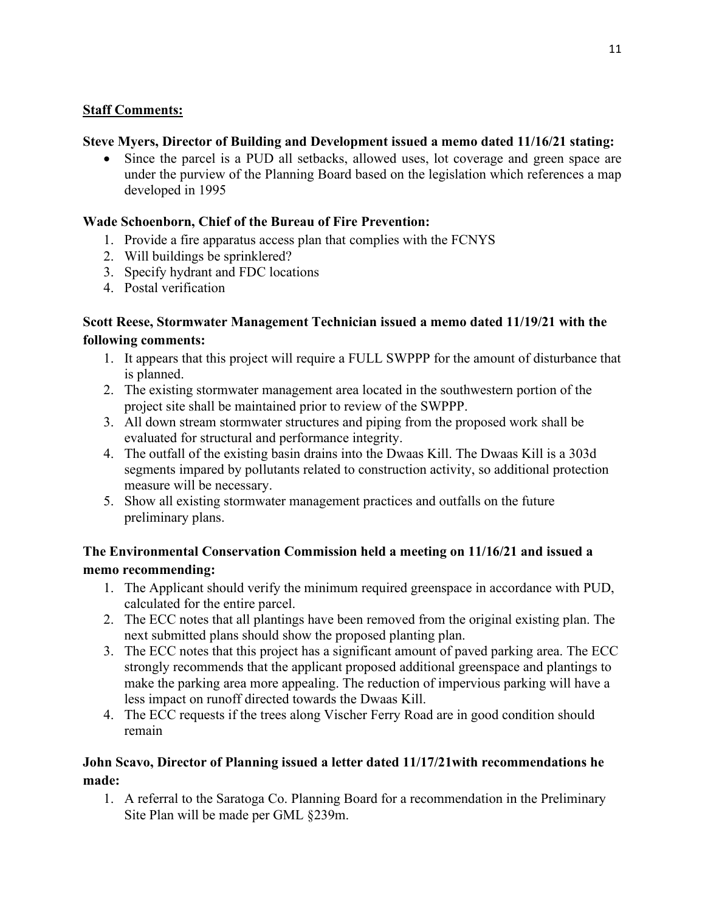### **Staff Comments:**

## **Steve Myers, Director of Building and Development issued a memo dated 11/16/21 stating:**

• Since the parcel is a PUD all setbacks, allowed uses, lot coverage and green space are under the purview of the Planning Board based on the legislation which references a map developed in 1995

# **Wade Schoenborn, Chief of the Bureau of Fire Prevention:**

- 1. Provide a fire apparatus access plan that complies with the FCNYS
- 2. Will buildings be sprinklered?
- 3. Specify hydrant and FDC locations
- 4. Postal verification

# **Scott Reese, Stormwater Management Technician issued a memo dated 11/19/21 with the following comments:**

- 1. It appears that this project will require a FULL SWPPP for the amount of disturbance that is planned.
- 2. The existing stormwater management area located in the southwestern portion of the project site shall be maintained prior to review of the SWPPP.
- 3. All down stream stormwater structures and piping from the proposed work shall be evaluated for structural and performance integrity.
- 4. The outfall of the existing basin drains into the Dwaas Kill. The Dwaas Kill is a 303d segments impared by pollutants related to construction activity, so additional protection measure will be necessary.
- 5. Show all existing stormwater management practices and outfalls on the future preliminary plans.

# **The Environmental Conservation Commission held a meeting on 11/16/21 and issued a memo recommending:**

- 1. The Applicant should verify the minimum required greenspace in accordance with PUD, calculated for the entire parcel.
- 2. The ECC notes that all plantings have been removed from the original existing plan. The next submitted plans should show the proposed planting plan.
- 3. The ECC notes that this project has a significant amount of paved parking area. The ECC strongly recommends that the applicant proposed additional greenspace and plantings to make the parking area more appealing. The reduction of impervious parking will have a less impact on runoff directed towards the Dwaas Kill.
- 4. The ECC requests if the trees along Vischer Ferry Road are in good condition should remain

# **John Scavo, Director of Planning issued a letter dated 11/17/21with recommendations he made:**

1. A referral to the Saratoga Co. Planning Board for a recommendation in the Preliminary Site Plan will be made per GML §239m.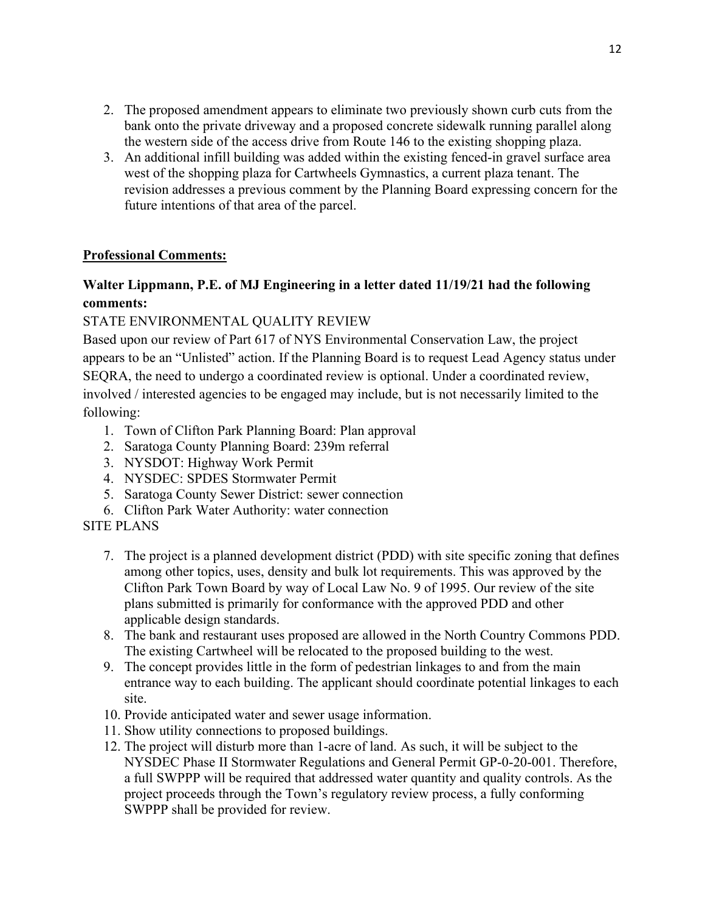- 2. The proposed amendment appears to eliminate two previously shown curb cuts from the bank onto the private driveway and a proposed concrete sidewalk running parallel along the western side of the access drive from Route 146 to the existing shopping plaza.
- 3. An additional infill building was added within the existing fenced-in gravel surface area west of the shopping plaza for Cartwheels Gymnastics, a current plaza tenant. The revision addresses a previous comment by the Planning Board expressing concern for the future intentions of that area of the parcel.

### **Professional Comments:**

# **Walter Lippmann, P.E. of MJ Engineering in a letter dated 11/19/21 had the following comments:**

## STATE ENVIRONMENTAL QUALITY REVIEW

Based upon our review of Part 617 of NYS Environmental Conservation Law, the project appears to be an "Unlisted" action. If the Planning Board is to request Lead Agency status under SEQRA, the need to undergo a coordinated review is optional. Under a coordinated review, involved / interested agencies to be engaged may include, but is not necessarily limited to the following:

- 1. Town of Clifton Park Planning Board: Plan approval
- 2. Saratoga County Planning Board: 239m referral
- 3. NYSDOT: Highway Work Permit
- 4. NYSDEC: SPDES Stormwater Permit
- 5. Saratoga County Sewer District: sewer connection
- 6. Clifton Park Water Authority: water connection
- SITE PLANS
	- 7. The project is a planned development district (PDD) with site specific zoning that defines among other topics, uses, density and bulk lot requirements. This was approved by the Clifton Park Town Board by way of Local Law No. 9 of 1995. Our review of the site plans submitted is primarily for conformance with the approved PDD and other applicable design standards.
	- 8. The bank and restaurant uses proposed are allowed in the North Country Commons PDD. The existing Cartwheel will be relocated to the proposed building to the west.
	- 9. The concept provides little in the form of pedestrian linkages to and from the main entrance way to each building. The applicant should coordinate potential linkages to each site.
	- 10. Provide anticipated water and sewer usage information.
	- 11. Show utility connections to proposed buildings.
	- 12. The project will disturb more than 1-acre of land. As such, it will be subject to the NYSDEC Phase II Stormwater Regulations and General Permit GP-0-20-001. Therefore, a full SWPPP will be required that addressed water quantity and quality controls. As the project proceeds through the Town's regulatory review process, a fully conforming SWPPP shall be provided for review.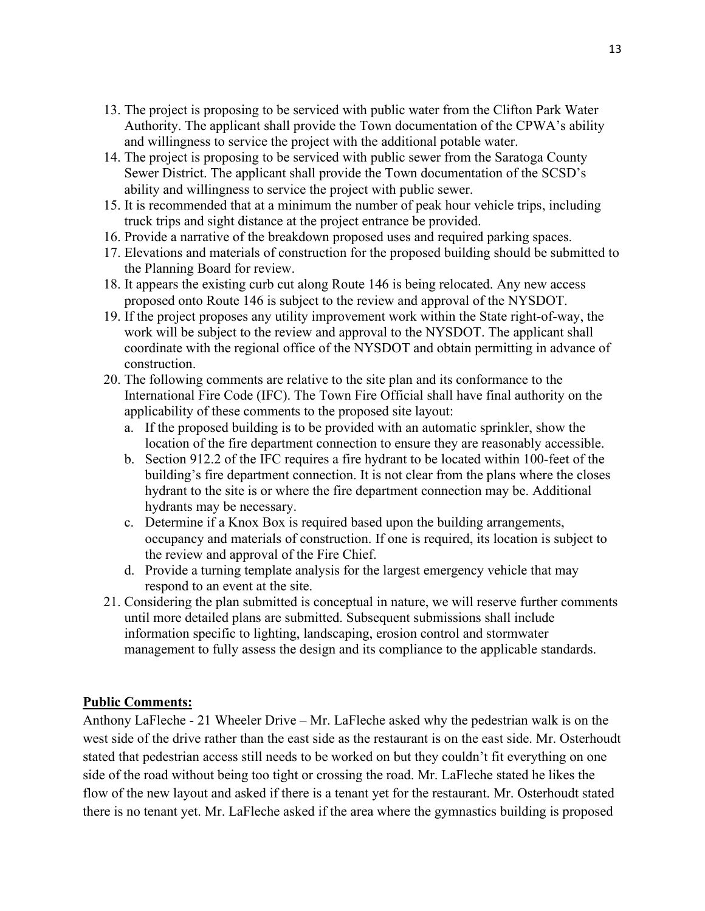- 13. The project is proposing to be serviced with public water from the Clifton Park Water Authority. The applicant shall provide the Town documentation of the CPWA's ability and willingness to service the project with the additional potable water.
- 14. The project is proposing to be serviced with public sewer from the Saratoga County Sewer District. The applicant shall provide the Town documentation of the SCSD's ability and willingness to service the project with public sewer.
- 15. It is recommended that at a minimum the number of peak hour vehicle trips, including truck trips and sight distance at the project entrance be provided.
- 16. Provide a narrative of the breakdown proposed uses and required parking spaces.
- 17. Elevations and materials of construction for the proposed building should be submitted to the Planning Board for review.
- 18. It appears the existing curb cut along Route 146 is being relocated. Any new access proposed onto Route 146 is subject to the review and approval of the NYSDOT.
- 19. If the project proposes any utility improvement work within the State right-of-way, the work will be subject to the review and approval to the NYSDOT. The applicant shall coordinate with the regional office of the NYSDOT and obtain permitting in advance of construction.
- 20. The following comments are relative to the site plan and its conformance to the International Fire Code (IFC). The Town Fire Official shall have final authority on the applicability of these comments to the proposed site layout:
	- a. If the proposed building is to be provided with an automatic sprinkler, show the location of the fire department connection to ensure they are reasonably accessible.
	- b. Section 912.2 of the IFC requires a fire hydrant to be located within 100-feet of the building's fire department connection. It is not clear from the plans where the closes hydrant to the site is or where the fire department connection may be. Additional hydrants may be necessary.
	- c. Determine if a Knox Box is required based upon the building arrangements, occupancy and materials of construction. If one is required, its location is subject to the review and approval of the Fire Chief.
	- d. Provide a turning template analysis for the largest emergency vehicle that may respond to an event at the site.
- 21. Considering the plan submitted is conceptual in nature, we will reserve further comments until more detailed plans are submitted. Subsequent submissions shall include information specific to lighting, landscaping, erosion control and stormwater management to fully assess the design and its compliance to the applicable standards.

### **Public Comments:**

Anthony LaFleche - 21 Wheeler Drive – Mr. LaFleche asked why the pedestrian walk is on the west side of the drive rather than the east side as the restaurant is on the east side. Mr. Osterhoudt stated that pedestrian access still needs to be worked on but they couldn't fit everything on one side of the road without being too tight or crossing the road. Mr. LaFleche stated he likes the flow of the new layout and asked if there is a tenant yet for the restaurant. Mr. Osterhoudt stated there is no tenant yet. Mr. LaFleche asked if the area where the gymnastics building is proposed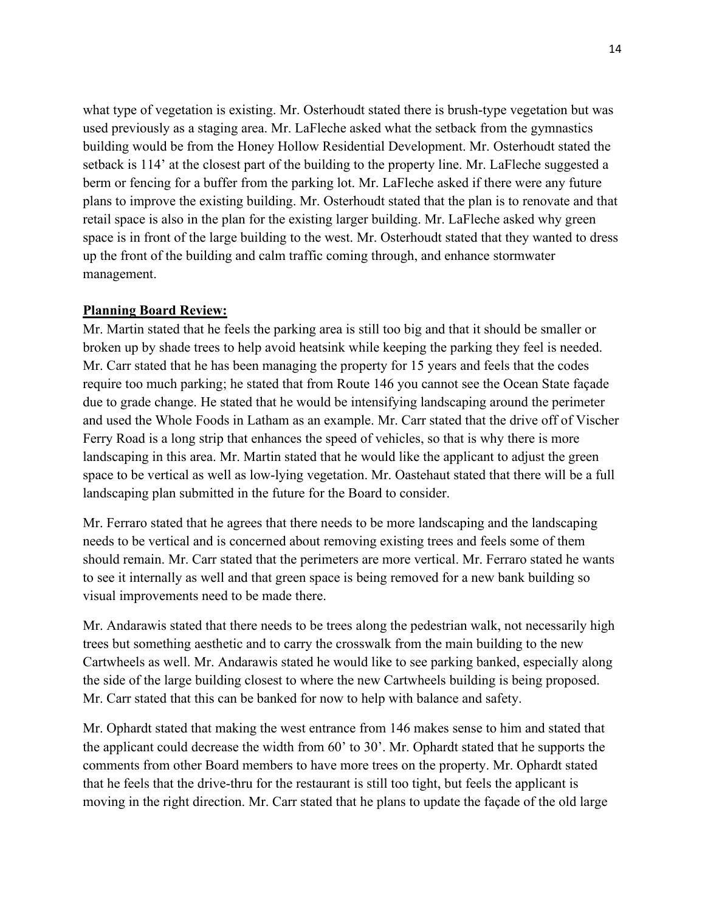what type of vegetation is existing. Mr. Osterhoudt stated there is brush-type vegetation but was used previously as a staging area. Mr. LaFleche asked what the setback from the gymnastics building would be from the Honey Hollow Residential Development. Mr. Osterhoudt stated the setback is 114' at the closest part of the building to the property line. Mr. LaFleche suggested a berm or fencing for a buffer from the parking lot. Mr. LaFleche asked if there were any future plans to improve the existing building. Mr. Osterhoudt stated that the plan is to renovate and that retail space is also in the plan for the existing larger building. Mr. LaFleche asked why green space is in front of the large building to the west. Mr. Osterhoudt stated that they wanted to dress up the front of the building and calm traffic coming through, and enhance stormwater management.

#### **Planning Board Review:**

Mr. Martin stated that he feels the parking area is still too big and that it should be smaller or broken up by shade trees to help avoid heatsink while keeping the parking they feel is needed. Mr. Carr stated that he has been managing the property for 15 years and feels that the codes require too much parking; he stated that from Route 146 you cannot see the Ocean State façade due to grade change. He stated that he would be intensifying landscaping around the perimeter and used the Whole Foods in Latham as an example. Mr. Carr stated that the drive off of Vischer Ferry Road is a long strip that enhances the speed of vehicles, so that is why there is more landscaping in this area. Mr. Martin stated that he would like the applicant to adjust the green space to be vertical as well as low-lying vegetation. Mr. Oastehaut stated that there will be a full landscaping plan submitted in the future for the Board to consider.

Mr. Ferraro stated that he agrees that there needs to be more landscaping and the landscaping needs to be vertical and is concerned about removing existing trees and feels some of them should remain. Mr. Carr stated that the perimeters are more vertical. Mr. Ferraro stated he wants to see it internally as well and that green space is being removed for a new bank building so visual improvements need to be made there.

Mr. Andarawis stated that there needs to be trees along the pedestrian walk, not necessarily high trees but something aesthetic and to carry the crosswalk from the main building to the new Cartwheels as well. Mr. Andarawis stated he would like to see parking banked, especially along the side of the large building closest to where the new Cartwheels building is being proposed. Mr. Carr stated that this can be banked for now to help with balance and safety.

Mr. Ophardt stated that making the west entrance from 146 makes sense to him and stated that the applicant could decrease the width from 60' to 30'. Mr. Ophardt stated that he supports the comments from other Board members to have more trees on the property. Mr. Ophardt stated that he feels that the drive-thru for the restaurant is still too tight, but feels the applicant is moving in the right direction. Mr. Carr stated that he plans to update the façade of the old large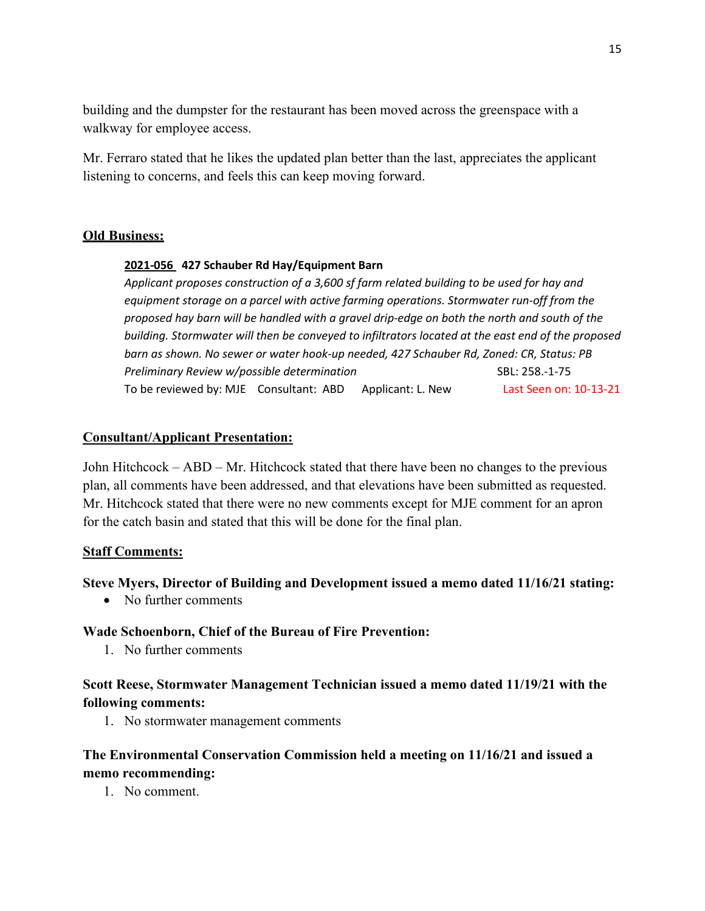building and the dumpster for the restaurant has been moved across the greenspace with a walkway for employee access.

Mr. Ferraro stated that he likes the updated plan better than the last, appreciates the applicant listening to concerns, and feels this can keep moving forward.

### **Old Business:**

#### **2021-056 427 Schauber Rd Hay/Equipment Barn**

*Applicant proposes construction of a 3,600 sf farm related building to be used for hay and equipment storage on a parcel with active farming operations. Stormwater run-off from the proposed hay barn will be handled with a gravel drip-edge on both the north and south of the building. Stormwater will then be conveyed to infiltrators located at the east end of the proposed barn as shown. No sewer or water hook-up needed, 427 Schauber Rd, Zoned: CR, Status: PB Preliminary Review w/possible determination* **SBL: 258.-1-75 SBL: 258.-1-75** To be reviewed by: MJE Consultant: ABD Applicant: L. New Last Seen on: 10-13-21

### **Consultant/Applicant Presentation:**

John Hitchcock – ABD – Mr. Hitchcock stated that there have been no changes to the previous plan, all comments have been addressed, and that elevations have been submitted as requested. Mr. Hitchcock stated that there were no new comments except for MJE comment for an apron for the catch basin and stated that this will be done for the final plan.

### **Staff Comments:**

### **Steve Myers, Director of Building and Development issued a memo dated 11/16/21 stating:**

• No further comments

### **Wade Schoenborn, Chief of the Bureau of Fire Prevention:**

1. No further comments

## **Scott Reese, Stormwater Management Technician issued a memo dated 11/19/21 with the following comments:**

1. No stormwater management comments

## **The Environmental Conservation Commission held a meeting on 11/16/21 and issued a memo recommending:**

1. No comment.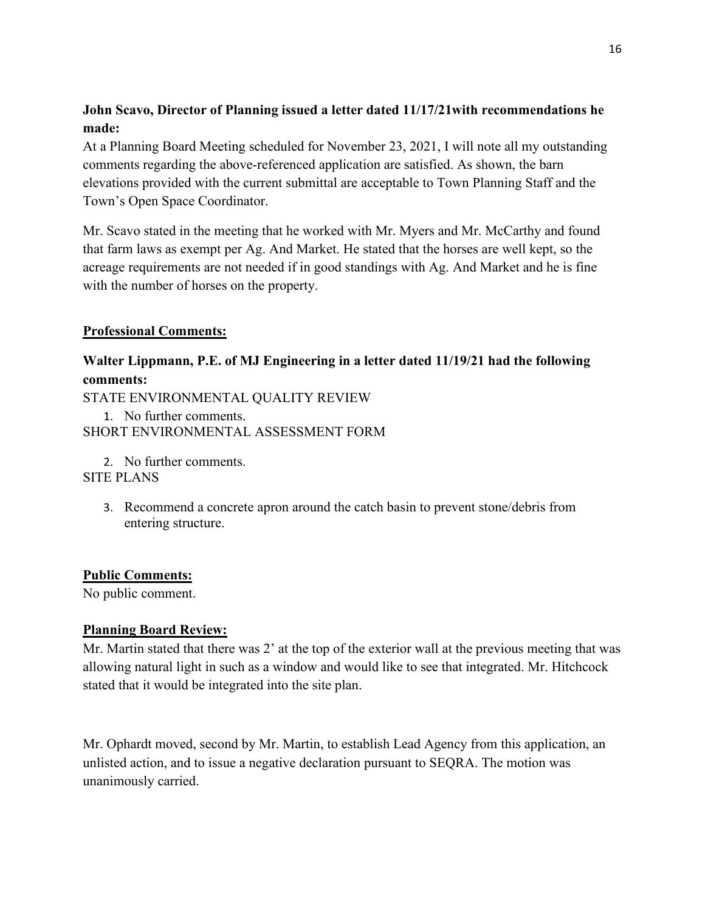# **John Scavo, Director of Planning issued a letter dated 11/17/21with recommendations he made:**

At a Planning Board Meeting scheduled for November 23, 2021, I will note all my outstanding comments regarding the above-referenced application are satisfied. As shown, the barn elevations provided with the current submittal are acceptable to Town Planning Staff and the Town's Open Space Coordinator.

Mr. Scavo stated in the meeting that he worked with Mr. Myers and Mr. McCarthy and found that farm laws as exempt per Ag. And Market. He stated that the horses are well kept, so the acreage requirements are not needed if in good standings with Ag. And Market and he is fine with the number of horses on the property.

### **Professional Comments:**

# **Walter Lippmann, P.E. of MJ Engineering in a letter dated 11/19/21 had the following comments:**

STATE ENVIRONMENTAL QUALITY REVIEW

1. No further comments. SHORT ENVIRONMENTAL ASSESSMENT FORM

2. No further comments.

SITE PLANS

3. Recommend a concrete apron around the catch basin to prevent stone/debris from entering structure.

### **Public Comments:**

No public comment.

### **Planning Board Review:**

Mr. Martin stated that there was 2' at the top of the exterior wall at the previous meeting that was allowing natural light in such as a window and would like to see that integrated. Mr. Hitchcock stated that it would be integrated into the site plan.

Mr. Ophardt moved, second by Mr. Martin, to establish Lead Agency from this application, an unlisted action, and to issue a negative declaration pursuant to SEQRA. The motion was unanimously carried.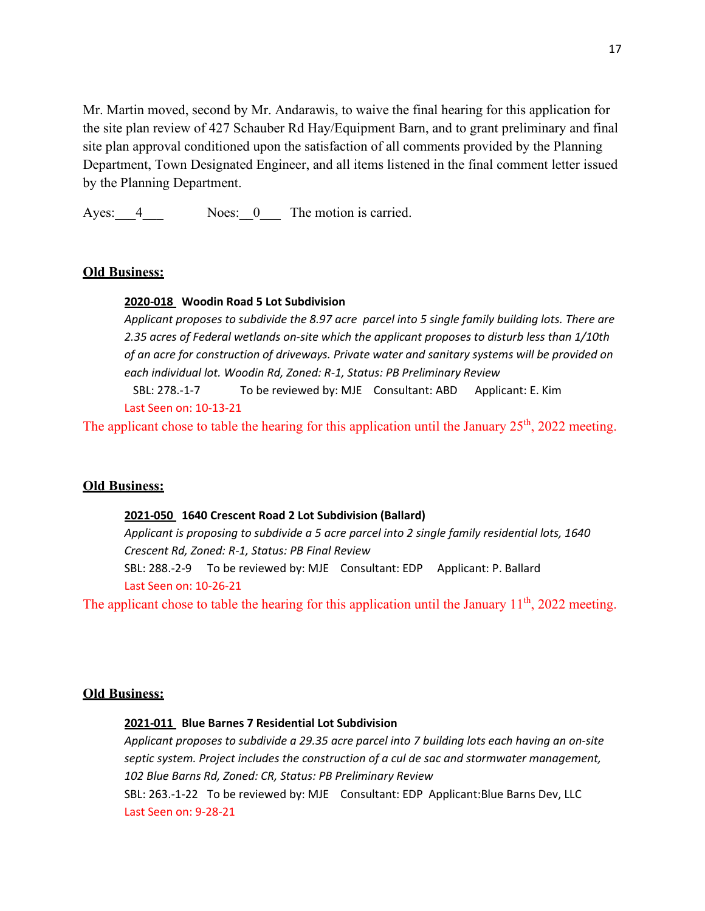Mr. Martin moved, second by Mr. Andarawis, to waive the final hearing for this application for the site plan review of 427 Schauber Rd Hay/Equipment Barn, and to grant preliminary and final site plan approval conditioned upon the satisfaction of all comments provided by the Planning Department, Town Designated Engineer, and all items listened in the final comment letter issued by the Planning Department.

Ayes: 4 Noes: 0 The motion is carried.

#### **Old Business:**

#### **2020-018 Woodin Road 5 Lot Subdivision**

*Applicant proposes to subdivide the 8.97 acre parcel into 5 single family building lots. There are 2.35 acres of Federal wetlands on-site which the applicant proposes to disturb less than 1/10th of an acre for construction of driveways. Private water and sanitary systems will be provided on each individual lot. Woodin Rd, Zoned: R-1, Status: PB Preliminary Review* SBL: 278.-1-7To be reviewed by: MJE Consultant: ABD Applicant: E. Kim

#### Last Seen on: 10-13-21

The applicant chose to table the hearing for this application until the January  $25<sup>th</sup>$ , 2022 meeting.

#### **Old Business:**

#### **2021-050 1640 Crescent Road 2 Lot Subdivision (Ballard)**

*Applicant is proposing to subdivide a 5 acre parcel into 2 single family residential lots, 1640 Crescent Rd, Zoned: R-1, Status: PB Final Review*  SBL: 288.-2-9 To be reviewed by: MJE Consultant: EDP Applicant: P. Ballard

Last Seen on: 10-26-21

The applicant chose to table the hearing for this application until the January  $11<sup>th</sup>$ , 2022 meeting.

#### **Old Business:**

Last Seen on: 9-28-21

#### **2021-011 Blue Barnes 7 Residential Lot Subdivision**

*Applicant proposes to subdivide a 29.35 acre parcel into 7 building lots each having an on-site septic system. Project includes the construction of a cul de sac and stormwater management, 102 Blue Barns Rd, Zoned: CR, Status: PB Preliminary Review*  SBL: 263.-1-22 To be reviewed by: MJE Consultant: EDP Applicant:Blue Barns Dev, LLC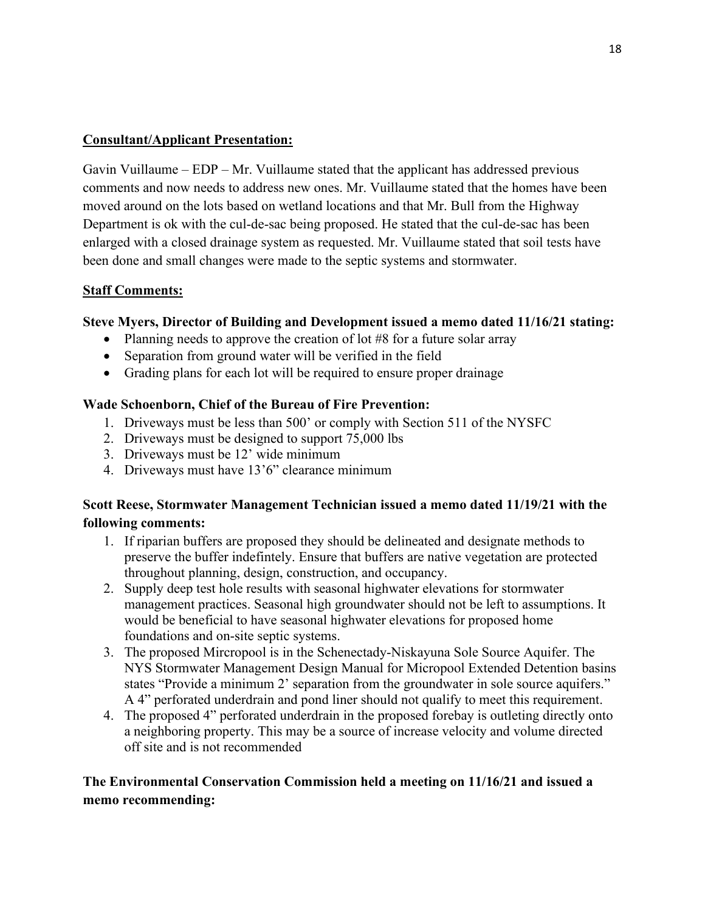### **Consultant/Applicant Presentation:**

Gavin Vuillaume – EDP – Mr. Vuillaume stated that the applicant has addressed previous comments and now needs to address new ones. Mr. Vuillaume stated that the homes have been moved around on the lots based on wetland locations and that Mr. Bull from the Highway Department is ok with the cul-de-sac being proposed. He stated that the cul-de-sac has been enlarged with a closed drainage system as requested. Mr. Vuillaume stated that soil tests have been done and small changes were made to the septic systems and stormwater.

### **Staff Comments:**

### **Steve Myers, Director of Building and Development issued a memo dated 11/16/21 stating:**

- Planning needs to approve the creation of lot #8 for a future solar array
- Separation from ground water will be verified in the field
- Grading plans for each lot will be required to ensure proper drainage

### **Wade Schoenborn, Chief of the Bureau of Fire Prevention:**

- 1. Driveways must be less than 500' or comply with Section 511 of the NYSFC
- 2. Driveways must be designed to support 75,000 lbs
- 3. Driveways must be 12' wide minimum
- 4. Driveways must have 13'6" clearance minimum

### **Scott Reese, Stormwater Management Technician issued a memo dated 11/19/21 with the following comments:**

- 1. If riparian buffers are proposed they should be delineated and designate methods to preserve the buffer indefintely. Ensure that buffers are native vegetation are protected throughout planning, design, construction, and occupancy.
- 2. Supply deep test hole results with seasonal highwater elevations for stormwater management practices. Seasonal high groundwater should not be left to assumptions. It would be beneficial to have seasonal highwater elevations for proposed home foundations and on-site septic systems.
- 3. The proposed Mircropool is in the Schenectady-Niskayuna Sole Source Aquifer. The NYS Stormwater Management Design Manual for Micropool Extended Detention basins states "Provide a minimum 2' separation from the groundwater in sole source aquifers." A 4" perforated underdrain and pond liner should not qualify to meet this requirement.
- 4. The proposed 4" perforated underdrain in the proposed forebay is outleting directly onto a neighboring property. This may be a source of increase velocity and volume directed off site and is not recommended

## **The Environmental Conservation Commission held a meeting on 11/16/21 and issued a memo recommending:**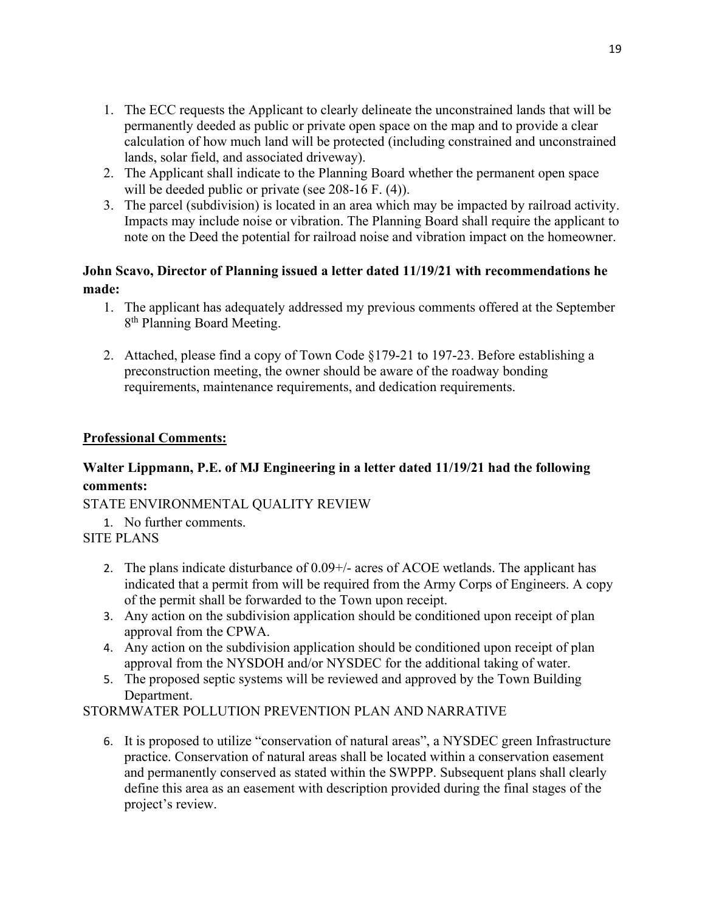- 1. The ECC requests the Applicant to clearly delineate the unconstrained lands that will be permanently deeded as public or private open space on the map and to provide a clear calculation of how much land will be protected (including constrained and unconstrained lands, solar field, and associated driveway).
- 2. The Applicant shall indicate to the Planning Board whether the permanent open space will be deeded public or private (see 208-16 F. (4)).
- 3. The parcel (subdivision) is located in an area which may be impacted by railroad activity. Impacts may include noise or vibration. The Planning Board shall require the applicant to note on the Deed the potential for railroad noise and vibration impact on the homeowner.

# **John Scavo, Director of Planning issued a letter dated 11/19/21 with recommendations he made:**

- 1. The applicant has adequately addressed my previous comments offered at the September 8<sup>th</sup> Planning Board Meeting.
- 2. Attached, please find a copy of Town Code §179-21 to 197-23. Before establishing a preconstruction meeting, the owner should be aware of the roadway bonding requirements, maintenance requirements, and dedication requirements.

## **Professional Comments:**

# **Walter Lippmann, P.E. of MJ Engineering in a letter dated 11/19/21 had the following comments:**

STATE ENVIRONMENTAL QUALITY REVIEW

- 1. No further comments.
- SITE PLANS
	- 2. The plans indicate disturbance of 0.09+/- acres of ACOE wetlands. The applicant has indicated that a permit from will be required from the Army Corps of Engineers. A copy of the permit shall be forwarded to the Town upon receipt.
	- 3. Any action on the subdivision application should be conditioned upon receipt of plan approval from the CPWA.
	- 4. Any action on the subdivision application should be conditioned upon receipt of plan approval from the NYSDOH and/or NYSDEC for the additional taking of water.
	- 5. The proposed septic systems will be reviewed and approved by the Town Building Department.

### STORMWATER POLLUTION PREVENTION PLAN AND NARRATIVE

6. It is proposed to utilize "conservation of natural areas", a NYSDEC green Infrastructure practice. Conservation of natural areas shall be located within a conservation easement and permanently conserved as stated within the SWPPP. Subsequent plans shall clearly define this area as an easement with description provided during the final stages of the project's review.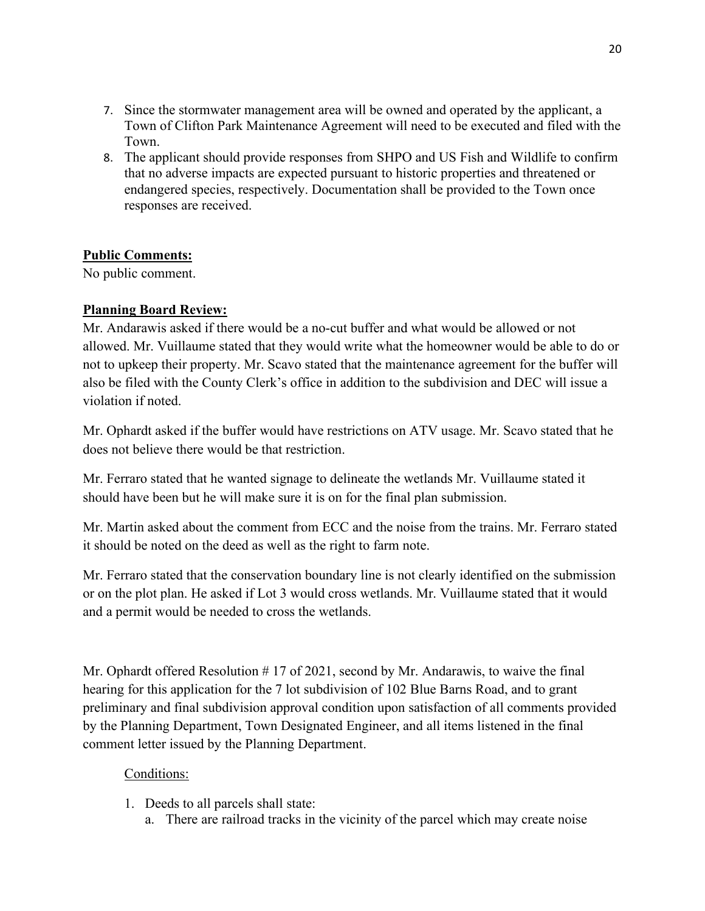- 7. Since the stormwater management area will be owned and operated by the applicant, a Town of Clifton Park Maintenance Agreement will need to be executed and filed with the Town.
- 8. The applicant should provide responses from SHPO and US Fish and Wildlife to confirm that no adverse impacts are expected pursuant to historic properties and threatened or endangered species, respectively. Documentation shall be provided to the Town once responses are received.

### **Public Comments:**

No public comment.

## **Planning Board Review:**

Mr. Andarawis asked if there would be a no-cut buffer and what would be allowed or not allowed. Mr. Vuillaume stated that they would write what the homeowner would be able to do or not to upkeep their property. Mr. Scavo stated that the maintenance agreement for the buffer will also be filed with the County Clerk's office in addition to the subdivision and DEC will issue a violation if noted.

Mr. Ophardt asked if the buffer would have restrictions on ATV usage. Mr. Scavo stated that he does not believe there would be that restriction.

Mr. Ferraro stated that he wanted signage to delineate the wetlands Mr. Vuillaume stated it should have been but he will make sure it is on for the final plan submission.

Mr. Martin asked about the comment from ECC and the noise from the trains. Mr. Ferraro stated it should be noted on the deed as well as the right to farm note.

Mr. Ferraro stated that the conservation boundary line is not clearly identified on the submission or on the plot plan. He asked if Lot 3 would cross wetlands. Mr. Vuillaume stated that it would and a permit would be needed to cross the wetlands.

Mr. Ophardt offered Resolution #17 of 2021, second by Mr. Andarawis, to waive the final hearing for this application for the 7 lot subdivision of 102 Blue Barns Road, and to grant preliminary and final subdivision approval condition upon satisfaction of all comments provided by the Planning Department, Town Designated Engineer, and all items listened in the final comment letter issued by the Planning Department.

### Conditions:

- 1. Deeds to all parcels shall state:
	- a. There are railroad tracks in the vicinity of the parcel which may create noise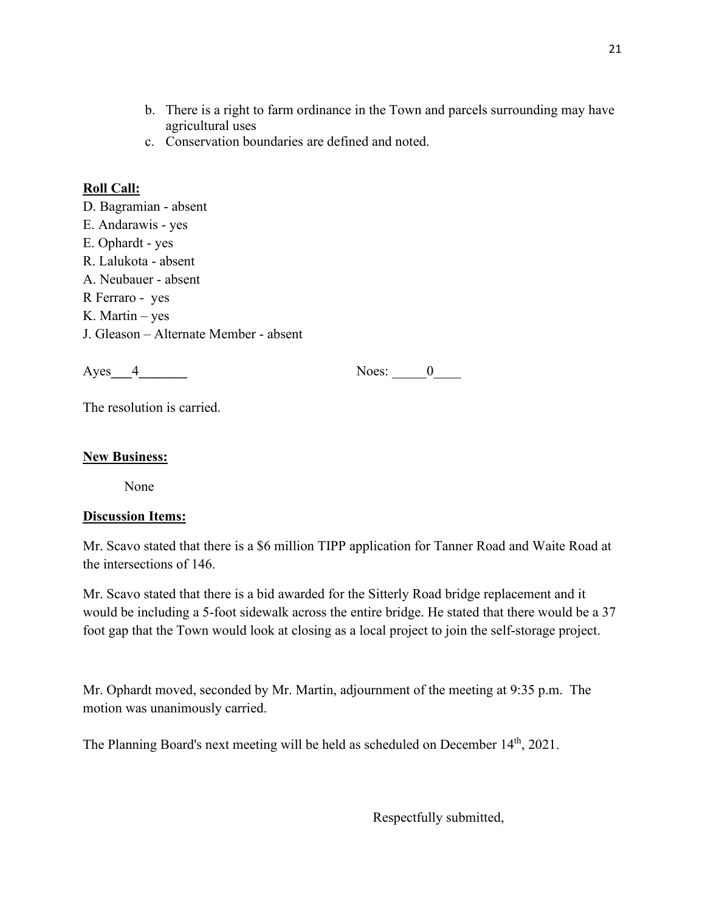- b. There is a right to farm ordinance in the Town and parcels surrounding may have agricultural uses
- c. Conservation boundaries are defined and noted.

## **Roll Call:**

D. Bagramian - absent E. Andarawis - yes E. Ophardt - yes R. Lalukota - absent A. Neubauer - absent R Ferraro - yes K. Martin – yes J. Gleason – Alternate Member - absent

Ayes**\_\_\_**4**\_\_\_\_\_\_\_** Noes: \_\_\_\_\_0\_\_\_\_

The resolution is carried.

### **New Business:**

None

### **Discussion Items:**

Mr. Scavo stated that there is a \$6 million TIPP application for Tanner Road and Waite Road at the intersections of 146.

Mr. Scavo stated that there is a bid awarded for the Sitterly Road bridge replacement and it would be including a 5-foot sidewalk across the entire bridge. He stated that there would be a 37 foot gap that the Town would look at closing as a local project to join the self-storage project.

Mr. Ophardt moved, seconded by Mr. Martin, adjournment of the meeting at 9:35 p.m. The motion was unanimously carried.

The Planning Board's next meeting will be held as scheduled on December 14<sup>th</sup>, 2021.

Respectfully submitted,